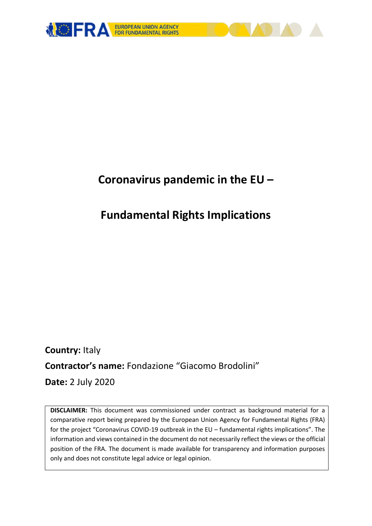

# **Coronavirus pandemic in the EU –**

# **Fundamental Rights Implications**

**Country:** Italy **Contractor's name:** Fondazione "Giacomo Brodolini" **Date:** 2 July 2020

**DISCLAIMER:** This document was commissioned under contract as background material for a comparative report being prepared by the European Union Agency for Fundamental Rights (FRA) for the project "Coronavirus COVID-19 outbreak in the EU – fundamental rights implications". The information and views contained in the document do not necessarily reflect the views or the official position of the FRA. The document is made available for transparency and information purposes only and does not constitute legal advice or legal opinion.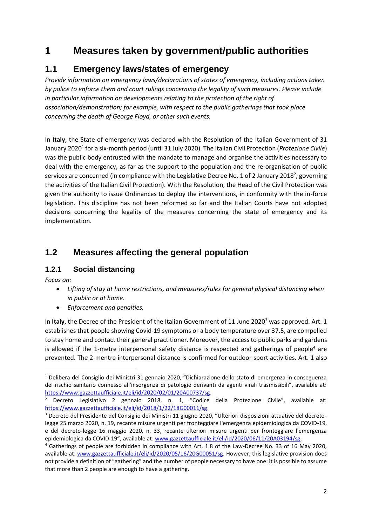# **1 Measures taken by government/public authorities**

## **1.1 Emergency laws/states of emergency**

*Provide information on emergency laws/declarations of states of emergency, including actions taken by police to enforce them and court rulings concerning the legality of such measures. Please include in particular information on developments relating to the protection of the right of association/demonstration; for example, with respect to the public gatherings that took place concerning the death of George Floyd, or other such events.*

In **Italy**, the State of emergency was declared with the Resolution of the Italian Government of 31 January 2020<sup>1</sup> for a six-month period (until 31 July 2020). The Italian Civil Protection (*Protezione Civile*) was the public body entrusted with the mandate to manage and organise the activities necessary to deal with the emergency, as far as the support to the population and the re-organisation of public services are concerned (in compliance with the Legislative Decree No. 1 of 2 January 2018<sup>2</sup>, governing the activities of the Italian Civil Protection). With the Resolution, the Head of the Civil Protection was given the authority to issue Ordinances to deploy the interventions, in conformity with the in-force legislation. This discipline has not been reformed so far and the Italian Courts have not adopted decisions concerning the legality of the measures concerning the state of emergency and its implementation.

# **1.2 Measures affecting the general population**

#### **1.2.1 Social distancing**

*Focus on:* 

**.** 

- *Lifting of stay at home restrictions, and measures/rules for general physical distancing when in public or at home.*
- *Enforcement and penalties.*

In Italy, the Decree of the President of the Italian Government of 11 June 2020<sup>3</sup> was approved. Art. 1 establishes that people showing Covid-19 symptoms or a body temperature over 37.5, are compelled to stay home and contact their general practitioner. Moreover, the access to public parks and gardens is allowed if the 1-metre interpersonal safety distance is respected and gatherings of people<sup>4</sup> are prevented. The 2-mentre interpersonal distance is confirmed for outdoor sport activities. Art. 1 also

<sup>1</sup> Delibera del Consiglio dei Ministri 31 gennaio 2020, "Dichiarazione dello stato di emergenza in conseguenza del rischio sanitario connesso all'insorgenza di patologie derivanti da agenti virali trasmissibili", available at: [https://www.gazzettaufficiale.it/eli/id/2020/02/01/20A00737/sg.](https://www.gazzettaufficiale.it/eli/id/2020/02/01/20A00737/sg) 

<sup>&</sup>lt;sup>2</sup> Decreto Legislativo 2 gennaio 2018, n. 1, "Codice della Protezione Civile", available at: [https://www.gazzettaufficiale.it/eli/id/2018/1/22/18G00011/sg.](https://www.gazzettaufficiale.it/eli/id/2018/1/22/18G00011/sg)

<sup>3</sup> Decreto del Presidente del Consiglio dei Ministri 11 giugno 2020, "Ulteriori disposizioni attuative del decretolegge 25 marzo 2020, n. 19, recante misure urgenti per fronteggiare l'emergenza epidemiologica da COVID-19, e del decreto-legge 16 maggio 2020, n. 33, recante ulteriori misure urgenti per fronteggiare l'emergenza epidemiologica da COVID-19", available at: [www.gazzettaufficiale.it/eli/id/2020/06/11/20A03194/sg.](http://www.gazzettaufficiale.it/eli/id/2020/06/11/20A03194/sg)

<sup>4</sup> Gatherings of people are forbidden in compliance with Art. 1.8 of the Law-Decree No. 33 of 16 May 2020, available at: [www.gazzettaufficiale.it/eli/id/2020/05/16/20G00051/sg.](http://www.gazzettaufficiale.it/eli/id/2020/05/16/20G00051/sg) However, this legislative provision does not provide a definition of "gathering" and the number of people necessary to have one: it is possible to assume that more than 2 people are enough to have a gathering.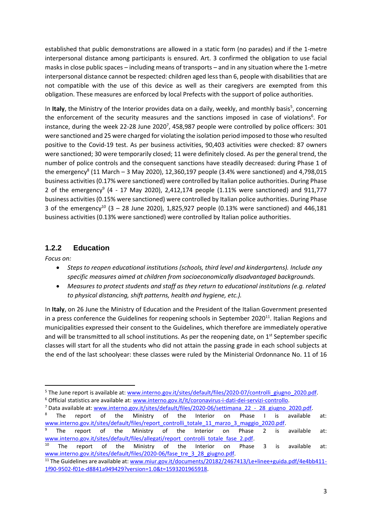established that public demonstrations are allowed in a static form (no parades) and if the 1-metre interpersonal distance among participants is ensured. Art. 3 confirmed the obligation to use facial masks in close public spaces – including means of transports – and in any situation where the 1-metre interpersonal distance cannot be respected: children aged less than 6, people with disabilities that are not compatible with the use of this device as well as their caregivers are exempted from this obligation. These measures are enforced by local Prefects with the support of police authorities.

In Italy, the Ministry of the Interior provides data on a daily, weekly, and monthly basis<sup>5</sup>, concerning the enforcement of the security measures and the sanctions imposed in case of violations<sup>6</sup>. For instance, during the week 22-28 June 2020<sup>7</sup>, 458,987 people were controlled by police officers: 301 were sanctioned and 25 were charged for violating the isolation period imposed to those who resulted positive to the Covid-19 test. As per business activities, 90,403 activities were checked: 87 owners were sanctioned; 30 were temporarily closed; 11 were definitely closed. As per the general trend, the number of police controls and the consequent sanctions have steadily decreased: during Phase 1 of the emergency<sup>8</sup> (11 March – 3 May 2020), 12,360,197 people (3.4% were sanctioned) and 4,798,015 business activities (0.17% were sanctioned) were controlled by Italian police authorities. During Phase 2 of the emergency<sup>9</sup> (4 - 17 May 2020), 2,412,174 people (1.11% were sanctioned) and 911,777 business activities (0.15% were sanctioned) were controlled by Italian police authorities. During Phase 3 of the emergency<sup>10</sup> (3 – 28 June 2020), 1,825,927 people (0.13% were sanctioned) and 446,181 business activities (0.13% were sanctioned) were controlled by Italian police authorities.

#### **1.2.2 Education**

*Focus on:*

**.** 

- *Steps to reopen educational institutions (schools, third level and kindergartens). Include any specific measures aimed at children from socioeconomically disadvantaged backgrounds.*
- *Measures to protect students and staff as they return to educational institutions (e.g. related to physical distancing, shift patterns, health and hygiene, etc.).*

In **Italy**, on 26 June the Ministry of Education and the President of the Italian Government presented in a press conference the Guidelines for reopening schools in September 2020 $^{11}$ . Italian Regions and municipalities expressed their consent to the Guidelines, which therefore are immediately operative and will be transmitted to all school institutions. As per the reopening date, on  $1<sup>st</sup>$  September specific classes will start for all the students who did not attain the passing grade in each school subjects at the end of the last schoolyear: these classes were ruled by the Ministerial Ordonnance No. 11 of 16

<sup>&</sup>lt;sup>5</sup> The June report is available at[: www.interno.gov.it/sites/default/files/2020-07/controlli\\_giugno\\_2020.pdf.](http://www.interno.gov.it/sites/default/files/2020-07/controlli_giugno_2020.pdf) <sup>6</sup> Official statistics are available at: [www.interno.gov.it/it/coronavirus-i-dati-dei-servizi-controllo.](http://www.interno.gov.it/it/coronavirus-i-dati-dei-servizi-controllo)

<sup>&</sup>lt;sup>7</sup> Data available at: [www.interno.gov.it/sites/default/files/2020-06/settimana\\_22\\_-\\_28\\_giugno\\_2020.pdf.](http://www.interno.gov.it/sites/default/files/2020-06/settimana_22_-_28_giugno_2020.pdf)

<sup>&</sup>lt;sup>8</sup> The report of the Ministry of the Interior on Phase I is available at: [www.interno.gov.it/sites/default/files/report\\_controlli\\_totale\\_11\\_marzo\\_3\\_maggio\\_2020.pdf.](http://www.interno.gov.it/sites/default/files/report_controlli_totale_11_marzo_3_maggio_2020.pdf)

<sup>&</sup>lt;sup>9</sup> The report of the Ministry of the Interior on Phase 2 is available at: [www.interno.gov.it/sites/default/files/allegati/report\\_controlli\\_totale\\_fase\\_2.pdf.](http://www.interno.gov.it/sites/default/files/allegati/report_controlli_totale_fase_2.pdf)

 $10$  The report of the Ministry of the Interior on Phase 3 is available at: [www.interno.gov.it/sites/default/files/2020-06/fase\\_tre\\_3\\_28\\_giugno.pdf.](http://www.interno.gov.it/sites/default/files/2020-06/fase_tre_3_28_giugno.pdf)

<sup>&</sup>lt;sup>11</sup> The Guidelines are available at[: www.miur.gov.it/documents/20182/2467413/Le+linee+guida.pdf/4e4bb411-](http://www.miur.gov.it/documents/20182/2467413/Le+linee+guida.pdf/4e4bb411-1f90-9502-f01e-d8841a949429?version=1.0&t=1593201965918) [1f90-9502-f01e-d8841a949429?version=1.0&t=1593201965918.](http://www.miur.gov.it/documents/20182/2467413/Le+linee+guida.pdf/4e4bb411-1f90-9502-f01e-d8841a949429?version=1.0&t=1593201965918)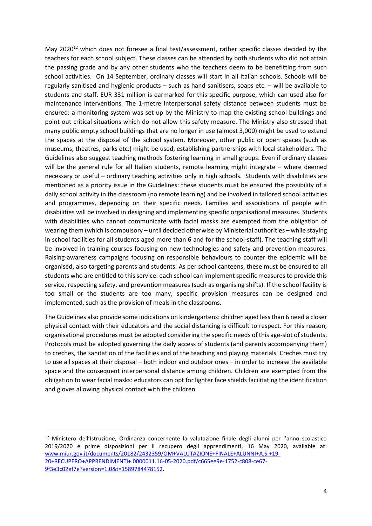May 2020<sup>12</sup> which does not foresee a final test/assessment, rather specific classes decided by the teachers for each school subject. These classes can be attended by both students who did not attain the passing grade and by any other students who the teachers deem to be benefitting from such school activities. On 14 September, ordinary classes will start in all Italian schools. Schools will be regularly sanitised and hygienic products – such as hand-sanitisers, soaps etc. – will be available to students and staff. EUR 331 million is earmarked for this specific purpose, which can used also for maintenance interventions. The 1-metre interpersonal safety distance between students must be ensured: a monitoring system was set up by the Ministry to map the existing school buildings and point out critical situations which do not allow this safety measure. The Ministry also stressed that many public empty school buildings that are no longer in use (almost 3,000) might be used to extend the spaces at the disposal of the school system. Moreover, other public or open spaces (such as museums, theatres, parks etc.) might be used, establishing partnerships with local stakeholders. The Guidelines also suggest teaching methods fostering learning in small groups. Even if ordinary classes will be the general rule for all Italian students, remote learning might integrate – where deemed necessary or useful – ordinary teaching activities only in high schools. Students with disabilities are mentioned as a priority issue in the Guidelines: these students must be ensured the possibility of a daily school activity in the classroom (no remote learning) and be involved in tailored school activities and programmes, depending on their specific needs. Families and associations of people with disabilities will be involved in designing and implementing specific organisational measures. Students with disabilities who cannot communicate with facial masks are exempted from the obligation of wearing them (which is compulsory – until decided otherwise by Ministerial authorities – while staying in school facilities for all students aged more than 6 and for the school-staff). The teaching staff will be involved in training courses focusing on new technologies and safety and prevention measures. Raising-awareness campaigns focusing on responsible behaviours to counter the epidemic will be organised, also targeting parents and students. As per school canteens, these must be ensured to all students who are entitled to this service: each school can implement specific measures to provide this service, respecting safety, and prevention measures (such as organising shifts). If the school facility is too small or the students are too many, specific provision measures can be designed and implemented, such as the provision of meals in the classrooms.

The Guidelines also provide some indications on kindergartens: children aged less than 6 need a closer physical contact with their educators and the social distancing is difficult to respect. For this reason, organisational procedures must be adopted considering the specific needs of this age-slot of students. Protocols must be adopted governing the daily access of students (and parents accompanying them) to creches, the sanitation of the facilities and of the teaching and playing materials. Creches must try to use all spaces at their disposal – both indoor and outdoor ones – in order to increase the available space and the consequent interpersonal distance among children. Children are exempted from the obligation to wear facial masks: educators can opt for lighter face shields facilitating the identification and gloves allowing physical contact with the children.

<sup>12</sup> Ministero dell'Istruzione, Ordinanza concernente la valutazione finale degli alunni per l'anno scolastico 2019/2020 e prime disposizioni per il recupero degli apprendimenti, 16 May 2020, available at: [www.miur.gov.it/documents/20182/2432359/OM+VALUTAZIONE+FINALE+ALUNNI+A.S.+19-](http://www.miur.gov.it/documents/20182/2432359/OM+VALUTAZIONE+FINALE+ALUNNI+A.S.+19-20+RECUPERO+APPRENDIMENTI+.0000011.16-05-2020.pdf/c665ee9e-1752-c808-ce67-9f3e3c02ef7e?version=1.0&t=1589784478152) [20+RECUPERO+APPRENDIMENTI+.0000011.16-05-2020.pdf/c665ee9e-1752-c808-ce67-](http://www.miur.gov.it/documents/20182/2432359/OM+VALUTAZIONE+FINALE+ALUNNI+A.S.+19-20+RECUPERO+APPRENDIMENTI+.0000011.16-05-2020.pdf/c665ee9e-1752-c808-ce67-9f3e3c02ef7e?version=1.0&t=1589784478152) [9f3e3c02ef7e?version=1.0&t=1589784478152.](http://www.miur.gov.it/documents/20182/2432359/OM+VALUTAZIONE+FINALE+ALUNNI+A.S.+19-20+RECUPERO+APPRENDIMENTI+.0000011.16-05-2020.pdf/c665ee9e-1752-c808-ce67-9f3e3c02ef7e?version=1.0&t=1589784478152)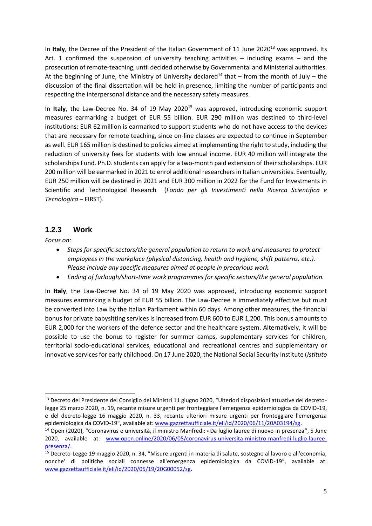In Italy, the Decree of the President of the Italian Government of 11 June 2020<sup>13</sup> was approved. Its Art. 1 confirmed the suspension of university teaching activities – including exams – and the prosecution of remote-teaching, until decided otherwise by Governmental and Ministerial authorities. At the beginning of June, the Ministry of University declared<sup>14</sup> that – from the month of July – the discussion of the final dissertation will be held in presence, limiting the number of participants and respecting the interpersonal distance and the necessary safety measures.

In Italy, the Law-Decree No. 34 of 19 May 2020<sup>15</sup> was approved, introducing economic support measures earmarking a budget of EUR 55 billion. EUR 290 million was destined to third-level institutions: EUR 62 million is earmarked to support students who do not have access to the devices that are necessary for remote teaching, since on-line classes are expected to continue in September as well. EUR 165 million is destined to policies aimed at implementing the right to study, including the reduction of university fees for students with low annual income. EUR 40 million will integrate the scholarships Fund. Ph.D. students can apply for a two-month paid extension of their scholarships. EUR 200 million will be earmarked in 2021 to enrol additional researchers in Italian universities. Eventually, EUR 250 million will be destined in 2021 and EUR 300 million in 2022 for the Fund for Investments in Scientific and Technological Research (*Fondo per gli Investimenti nella Ricerca Scientifica e Tecnologica –* FIRST).

#### **1.2.3 Work**

*Focus on:* 

1

- *Steps for specific sectors/the general population to return to work and measures to protect employees in the workplace (physical distancing, health and hygiene, shift patterns, etc.). Please include any specific measures aimed at people in precarious work.*
- *Ending of furlough/short-time work programmes for specific sectors/the general population.*

In **Italy**, the Law-Decree No. 34 of 19 May 2020 was approved, introducing economic support measures earmarking a budget of EUR 55 billion. The Law-Decree is immediately effective but must be converted into Law by the Italian Parliament within 60 days. Among other measures, the financial bonus for private babysitting services is increased from EUR 600 to EUR 1,200. This bonus amounts to EUR 2,000 for the workers of the defence sector and the healthcare system. Alternatively, it will be possible to use the bonus to register for summer camps, supplementary services for children, territorial socio-educational services, educational and recreational centres and supplementary or innovative services for early childhood. On 17 June 2020, the National Social Security Institute (*Istituto* 

<sup>&</sup>lt;sup>13</sup> Decreto del Presidente del Consiglio dei Ministri 11 giugno 2020, "Ulteriori disposizioni attuative del decretolegge 25 marzo 2020, n. 19, recante misure urgenti per fronteggiare l'emergenza epidemiologica da COVID-19, e del decreto-legge 16 maggio 2020, n. 33, recante ulteriori misure urgenti per fronteggiare l'emergenza epidemiologica da COVID-19", available at: [www.gazzettaufficiale.it/eli/id/2020/06/11/20A03194/sg.](http://www.gazzettaufficiale.it/eli/id/2020/06/11/20A03194/sg)

<sup>14</sup> Open (2020), "Coronavirus e università, il ministro Manfredi: «Da luglio lauree di nuovo in presenza", 5 June 2020, available at: [www.open.online/2020/06/05/coronavirus-universita-ministro-manfredi-luglio-lauree](http://www.open.online/2020/06/05/coronavirus-universita-ministro-manfredi-luglio-lauree-presenza/)[presenza/.](http://www.open.online/2020/06/05/coronavirus-universita-ministro-manfredi-luglio-lauree-presenza/) 

<sup>15</sup> Decreto-Legge 19 maggio 2020, n. 34, "Misure urgenti in materia di salute, sostegno al lavoro e all'economia, nonche' di politiche sociali connesse all'emergenza epidemiologica da COVID-19", available at: [www.gazzettaufficiale.it/eli/id/2020/05/19/20G00052/sg.](http://www.gazzettaufficiale.it/eli/id/2020/05/19/20G00052/sg)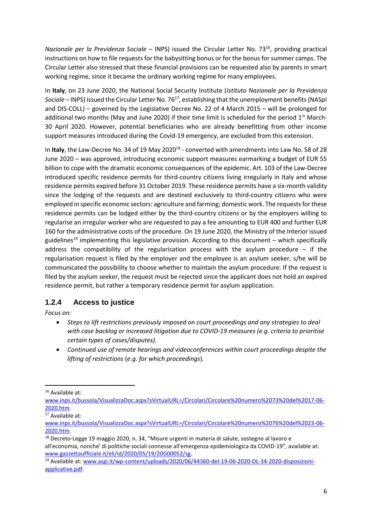*Nazionale per la Previdenza Sociale – INPS*) issued the Circular Letter No. 73<sup>16</sup>, providing practical instructions on how to file requests for the babysitting bonus or for the bonus for summer camps. The Circular Letter also stressed that these financial provisions can be requested also by parents in smart working regime, since it became the ordinary working regime for many employees.

In **Italy**, on 23 June 2020, the National Social Security Institute (*Istituto Nazionale per la Previdenza Sociale* – INPS) issued the Circular Letter No. 76<sup>17</sup>, establishing that the unemployment benefits (NASpI and DIS-COLL) – governed by the Legislative Decree No. 22 of 4 March 2015 – will be prolonged for additional two months (May and June 2020) if their time limit is scheduled for the period  $1<sup>st</sup>$  March-30 April 2020. However, potential beneficiaries who are already benefitting from other income support measures introduced during the Covid-19 emergency, are excluded from this extension.

In Italy, the Law-Decree No. 34 of 19 May 2020<sup>18</sup> - converted with amendments into Law No. 58 of 28 June 2020 – was approved, introducing economic support measures earmarking a budget of EUR 55 billion to cope with the dramatic economic consequences of the epidemic. Art. 103 of the Law-Decree introduced specific residence permits for third-country citizens living irregularly in Italy and whose residence permits expired before 31 October 2019. These residence permits have a six-month validity since the lodging of the requests and are destined exclusively to third-country citizens who were employed in specific economic sectors: agriculture and farming; domestic work. The requests for these residence permits can be lodged either by the third-country citizens or by the employers willing to regularise an irregular worker who are requested to pay a fee amounting to EUR 400 and further EUR 160 for the administrative costs of the procedure. On 19 June 2020, the Ministry of the Interior issued guidelines<sup>19</sup> implementing this legislative provision. According to this document – which specifically address the compatibility of the regularisation process with the asylum procedure  $-$  if the regularisation request is filed by the employer and the employee is an asylum seeker, s/he will be communicated the possibility to choose whether to maintain the asylum procedure. If the request is filed by the asylum seeker, the request must be rejected since the applicant does not hold an expired residence permit, but rather a temporary residence permit for asylum application.

#### **1.2.4 Access to justice**

*Focus on:* 

- *Steps to lift restrictions previously imposed on court proceedings and any strategies to deal with case backlog or increased litigation due to COVID-19 measures (e.g. criteria to prioritise certain types of cases/disputes).*
- *Continued use of remote hearings and videoconferences within court proceedings despite the lifting of restrictions* (*e.g. for which proceedings*)*.*

<sup>&</sup>lt;sup>16</sup> Available at:

[www.inps.it/bussola/VisualizzaDoc.aspx?sVirtualURL=/Circolari/Circolare%20numero%2073%20del%2017-06-](http://www.inps.it/bussola/VisualizzaDoc.aspx?sVirtualURL=/Circolari/Circolare%20numero%2073%20del%2017-06-2020.htm) [2020.htm.](http://www.inps.it/bussola/VisualizzaDoc.aspx?sVirtualURL=/Circolari/Circolare%20numero%2073%20del%2017-06-2020.htm) 

<sup>17</sup> Available at:

[www.inps.it/bussola/VisualizzaDoc.aspx?sVirtualURL=/Circolari/Circolare%20numero%2076%20del%2023-06-](http://www.inps.it/bussola/VisualizzaDoc.aspx?sVirtualURL=/Circolari/Circolare%20numero%2076%20del%2023-06-2020.htm) [2020.htm.](http://www.inps.it/bussola/VisualizzaDoc.aspx?sVirtualURL=/Circolari/Circolare%20numero%2076%20del%2023-06-2020.htm) 

<sup>&</sup>lt;sup>18</sup> Decreto-Legge 19 maggio 2020, n. 34, "Misure urgenti in materia di salute, sostegno al lavoro e all'economia, nonché' di politiche sociali connesse all'emergenza epidemiologica da COVID-19", available at: [www.gazzettaufficiale.it/eli/id/2020/05/19/20G00052/sg.](http://www.gazzettaufficiale.it/eli/id/2020/05/19/20G00052/sg) 

<sup>19</sup> Available at: [www.asgi.it/wp-content/uploads/2020/06/44360-del-19-06-2020-DL-34-2020-disposizioni](http://www.asgi.it/wp-content/uploads/2020/06/44360-del-19-06-2020-DL-34-2020-disposizioni-applicative.pdf)[applicative.pdf.](http://www.asgi.it/wp-content/uploads/2020/06/44360-del-19-06-2020-DL-34-2020-disposizioni-applicative.pdf)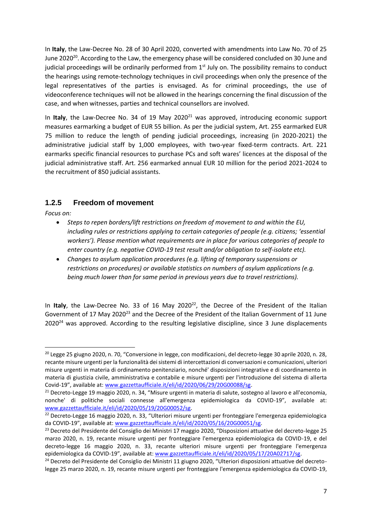In **Italy**, the Law-Decree No. 28 of 30 April 2020, converted with amendments into Law No. 70 of 25 June 2020<sup>20</sup>. According to the Law, the emergency phase will be considered concluded on 30 June and judicial proceedings will be ordinarily performed from  $1<sup>st</sup>$  July on. The possibility remains to conduct the hearings using remote-technology techniques in civil proceedings when only the presence of the legal representatives of the parties is envisaged. As for criminal proceedings, the use of videoconference techniques will not be allowed in the hearings concerning the final discussion of the case, and when witnesses, parties and technical counsellors are involved.

In **Italy**, the Law-Decree No. 34 of 19 May 2020<sup>21</sup> was approved, introducing economic support measures earmarking a budget of EUR 55 billion. As per the judicial system, Art. 255 earmarked EUR 75 million to reduce the length of pending judicial proceedings, increasing (in 2020-2021) the administrative judicial staff by 1,000 employees, with two-year fixed-term contracts. Art. 221 earmarks specific financial resources to purchase PCs and soft wares' licences at the disposal of the judicial administrative staff. Art. 256 earmarked annual EUR 10 million for the period 2021-2024 to the recruitment of 850 judicial assistants.

#### **1.2.5 Freedom of movement**

*Focus on:* 

**.** 

- *Steps to repen borders/lift restrictions on freedom of movement to and within the EU, including rules or restrictions applying to certain categories of people (e.g. citizens; 'essential workers'). Please mention what requirements are in place for various categories of people to enter country (e.g. negative COVID-19 test result and/or obligation to self-isolate etc).*
- *Changes to asylum application procedures (*e.*g. lifting of temporary suspensions or restrictions on procedures) or available statistics on numbers of asylum applications (e.g. being much lower than for same period in previous years due to travel restrictions).*

In Italy, the Law-Decree No. 33 of 16 May 2020<sup>22</sup>, the Decree of the President of the Italian Government of 17 May 2020<sup>23</sup> and the Decree of the President of the Italian Government of 11 June  $2020<sup>24</sup>$  was approved. According to the resulting legislative discipline, since 3 June displacements

<sup>&</sup>lt;sup>20</sup> Legge 25 giugno 2020, n. 70, "Conversione in legge, con modificazioni, del decreto-legge 30 aprile 2020, n. 28, recante misure urgenti per la funzionalità dei sistemi di intercettazioni di conversazioni e comunicazioni, ulteriori misure urgenti in materia di ordinamento penitenziario, nonché' disposizioni integrative e di coordinamento in materia di giustizia civile, amministrativa e contabile e misure urgenti per l'introduzione del sistema di allerta Covid-19", available at: [www.gazzettaufficiale.it/eli/id/2020/06/29/20G00088/sg.](http://www.gazzettaufficiale.it/eli/id/2020/06/29/20G00088/sg) 

<sup>21</sup> Decreto-Legge 19 maggio 2020, n. 34, "Misure urgenti in materia di salute, sostegno al lavoro e all'economia, nonche' di politiche sociali connesse all'emergenza epidemiologica da COVID-19", available at: [www.gazzettaufficiale.it/eli/id/2020/05/19/20G00052/sg.](http://www.gazzettaufficiale.it/eli/id/2020/05/19/20G00052/sg) 

<sup>&</sup>lt;sup>22</sup> Decreto-Legge 16 maggio 2020, n. 33, "Ulteriori misure urgenti per fronteggiare l'emergenza epidemiologica da COVID-19", available at: [www.gazzettaufficiale.it/eli/id/2020/05/16/20G00051/sg.](http://www.gazzettaufficiale.it/eli/id/2020/05/16/20G00051/sg) 

<sup>&</sup>lt;sup>23</sup> Decreto del Presidente del Consiglio dei Ministri 17 maggio 2020, "Disposizioni attuative del decreto-legge 25 marzo 2020, n. 19, recante misure urgenti per fronteggiare l'emergenza epidemiologica da COVID-19, e del decreto-legge 16 maggio 2020, n. 33, recante ulteriori misure urgenti per fronteggiare l'emergenza epidemiologica da COVID-19", available at: [www.gazzettaufficiale.it/eli/id/2020/05/17/20A02717/sg.](http://www.gazzettaufficiale.it/eli/id/2020/05/17/20A02717/sg)

<sup>&</sup>lt;sup>24</sup> Decreto del Presidente del Consiglio dei Ministri 11 giugno 2020, "Ulteriori disposizioni attuative del decretolegge 25 marzo 2020, n. 19, recante misure urgenti per fronteggiare l'emergenza epidemiologica da COVID-19,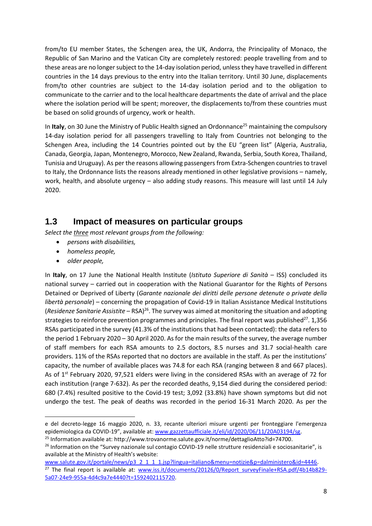from/to EU member States, the Schengen area, the UK, Andorra, the Principality of Monaco, the Republic of San Marino and the Vatican City are completely restored: people travelling from and to these areas are no longer subject to the 14-day isolation period, unless they have travelled in different countries in the 14 days previous to the entry into the Italian territory. Until 30 June, displacements from/to other countries are subject to the 14-day isolation period and to the obligation to communicate to the carrier and to the local healthcare departments the date of arrival and the place where the isolation period will be spent; moreover, the displacements to/from these countries must be based on solid grounds of urgency, work or health.

In Italy, on 30 June the Ministry of Public Health signed an Ordonnance<sup>25</sup> maintaining the compulsory 14-day isolation period for all passengers travelling to Italy from Countries not belonging to the Schengen Area, including the 14 Countries pointed out by the EU "green list" (Algeria, Australia, Canada, Georgia, Japan, Montenegro, Morocco, New Zealand, Rwanda, Serbia, South Korea, Thailand, Tunisia and Uruguay). As per the reasons allowing passengers from Extra-Schengen countries to travel to Italy, the Ordonnance lists the reasons already mentioned in other legislative provisions – namely, work, health, and absolute urgency – also adding study reasons. This measure will last until 14 July 2020.

### **1.3 Impact of measures on particular groups**

*Select the three most relevant groups from the following:* 

- *persons with disabilities,*
- *homeless people,*
- *older people,*

1

In **Italy**, on 17 June the National Health Institute (*Istituto Superiore di Sanità* – ISS) concluded its national survey – carried out in cooperation with the National Guarantor for the Rights of Persons Detained or Deprived of Liberty (*Garante nazionale dei diritti delle persone detenute o private della libertà personale*) – concerning the propagation of Covid-19 in Italian Assistance Medical Institutions (*Residenze Sanitarie Assistite* – RSA)<sup>26</sup>. The survey was aimed at monitoring the situation and adopting strategies to reinforce prevention programmes and principles. The final report was published $2^7$ . 1,356 RSAs participated in the survey (41.3% of the institutions that had been contacted): the data refers to the period 1 February 2020 – 30 April 2020. As for the main results of the survey, the average number of staff members for each RSA amounts to 2.5 doctors, 8.5 nurses and 31.7 social-health care providers. 11% of the RSAs reported that no doctors are available in the staff. As per the institutions' capacity, the number of available places was 74.8 for each RSA (ranging between 8 and 667 places). As of 1st February 2020, 97,521 elders were living in the considered RSAs with an average of 72 for each institution (range 7-632). As per the recorded deaths, 9,154 died during the considered period: 680 (7.4%) resulted positive to the Covid-19 test; 3,092 (33.8%) have shown symptoms but did not undergo the test. The peak of deaths was recorded in the period 16-31 March 2020. As per the

e del decreto-legge 16 maggio 2020, n. 33, recante ulteriori misure urgenti per fronteggiare l'emergenza epidemiologica da COVID-19", available at: [www.gazzettaufficiale.it/eli/id/2020/06/11/20A03194/sg.](http://www.gazzettaufficiale.it/eli/id/2020/06/11/20A03194/sg)

<sup>&</sup>lt;sup>25</sup> Information available at: http://www.trovanorme.salute.gov.it/norme/dettaglioAtto?id=74700.

<sup>&</sup>lt;sup>26</sup> Information on the "Survey nazionale sul contagio COVID-19 nelle strutture residenziali e sociosanitarie", is available at the Ministry of Health's website:

[www.salute.gov.it/portale/news/p3\\_2\\_1\\_1\\_1.jsp?lingua=italiano&menu=notizie&p=dalministero&id=4446.](http://www.salute.gov.it/portale/news/p3_2_1_1_1.jsp?lingua=italiano&menu=notizie&p=dalministero&id=4446) <sup>27</sup> The final report is available at: [www.iss.it/documents/20126/0/Report\\_surveyFinale+RSA.pdf/4b14b829-](http://www.iss.it/documents/20126/0/Report_surveyFinale+RSA.pdf/4b14b829-5a07-24e9-955a-4d4c9a7e4440?t=1592402115720) [5a07-24e9-955a-4d4c9a7e4440?t=1592402115720.](http://www.iss.it/documents/20126/0/Report_surveyFinale+RSA.pdf/4b14b829-5a07-24e9-955a-4d4c9a7e4440?t=1592402115720)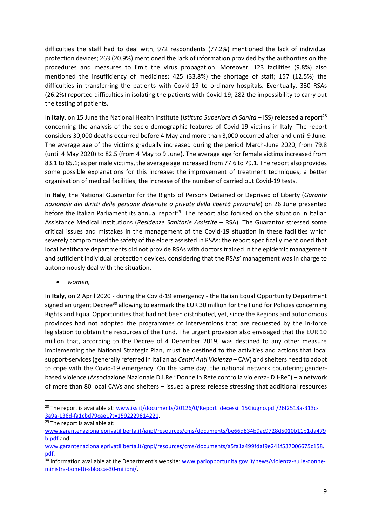difficulties the staff had to deal with, 972 respondents (77.2%) mentioned the lack of individual protection devices; 263 (20.9%) mentioned the lack of information provided by the authorities on the procedures and measures to limit the virus propagation. Moreover, 123 facilities (9.8%) also mentioned the insufficiency of medicines; 425 (33.8%) the shortage of staff; 157 (12.5%) the difficulties in transferring the patients with Covid-19 to ordinary hospitals. Eventually, 330 RSAs (26.2%) reported difficulties in isolating the patients with Covid-19; 282 the impossibility to carry out the testing of patients.

In Italy, on 15 June the National Health Institute (*Istituto Superiore di Sanità* – ISS) released a report<sup>28</sup> concerning the analysis of the socio-demographic features of Covid-19 victims in Italy. The report considers 30,000 deaths occurred before 4 May and more than 3,000 occurred after and until 9 June. The average age of the victims gradually increased during the period March-June 2020, from 79.8 (until 4 May 2020) to 82.5 (from 4 May to 9 June). The average age for female victims increased from 83.1 to 85.1; as per male victims, the average age increased from 77.6 to 79.1. The report also provides some possible explanations for this increase: the improvement of treatment techniques; a better organisation of medical facilities; the increase of the number of carried out Covid-19 tests.

In **Italy**, the National Guarantor for the Rights of Persons Detained or Deprived of Liberty (*Garante nazionale dei diritti delle persone detenute o private della libertà personale*) on 26 June presented before the Italian Parliament its annual report<sup>29</sup>. The report also focused on the situation in Italian Assistance Medical Institutions (*Residenze Sanitarie Assistite* – RSA). The Guarantor stressed some critical issues and mistakes in the management of the Covid-19 situation in these facilities which severely compromised the safety of the elders assisted in RSAs: the report specifically mentioned that local healthcare departments did not provide RSAs with doctors trained in the epidemic management and sufficient individual protection devices, considering that the RSAs' management was in charge to autonomously deal with the situation.

*women,*

In **Italy**, on 2 April 2020 - during the Covid-19 emergency - the Italian Equal Opportunity Department signed an urgent Decree<sup>30</sup> allowing to earmark the EUR 30 million for the Fund for Policies concerning Rights and Equal Opportunities that had not been distributed, yet, since the Regions and autonomous provinces had not adopted the programmes of interventions that are requested by the in-force legislation to obtain the resources of the Fund. The urgent provision also envisaged that the EUR 10 million that, according to the Decree of 4 December 2019, was destined to any other measure implementing the National Strategic Plan, must be destined to the activities and actions that local support-services (generally referred in Italian as *Centri Anti Violenza* – CAV) and shelters need to adopt to cope with the Covid-19 emergency. On the same day, the national network countering genderbased violence (Associazione Nazionale D.i.Re "Donne in Rete contro la violenza- D.i-Re") – a network of more than 80 local CAVs and shelters – issued a press release stressing that additional resources

<sup>&</sup>lt;sup>28</sup> The report is available at: [www.iss.it/documents/20126/0/Report\\_decessi\\_15Giugno.pdf/26f2518a-313c-](http://www.iss.it/documents/20126/0/Report_decessi_15Giugno.pdf/26f2518a-313c-3a9a-136d-fa1cbd79cae1?t=1592229814221)[3a9a-136d-fa1cbd79cae1?t=1592229814221.](http://www.iss.it/documents/20126/0/Report_decessi_15Giugno.pdf/26f2518a-313c-3a9a-136d-fa1cbd79cae1?t=1592229814221)

 $\overline{29}$  The report is available at:

[www.garantenazionaleprivatiliberta.it/gnpl/resources/cms/documents/be66d834b9ac9728d5010b11b1da479](http://www.garantenazionaleprivatiliberta.it/gnpl/resources/cms/documents/be66d834b9ac9728d5010b11b1da479b.pdf) [b.pdf](http://www.garantenazionaleprivatiliberta.it/gnpl/resources/cms/documents/be66d834b9ac9728d5010b11b1da479b.pdf) and

[www.garantenazionaleprivatiliberta.it/gnpl/resources/cms/documents/a5fa1a499fdaf9e241f537006675c158.](http://www.garantenazionaleprivatiliberta.it/gnpl/resources/cms/documents/a5fa1a499fdaf9e241f537006675c158.pdf) [pdf.](http://www.garantenazionaleprivatiliberta.it/gnpl/resources/cms/documents/a5fa1a499fdaf9e241f537006675c158.pdf)

<sup>&</sup>lt;sup>30</sup> Information available at the Department's website: [www.pariopportunita.gov.it/news/violenza-sulle-donne](http://www.pariopportunita.gov.it/news/violenza-sulle-donne-ministra-bonetti-sblocca-30-milioni/)[ministra-bonetti-sblocca-30-milioni/.](http://www.pariopportunita.gov.it/news/violenza-sulle-donne-ministra-bonetti-sblocca-30-milioni/)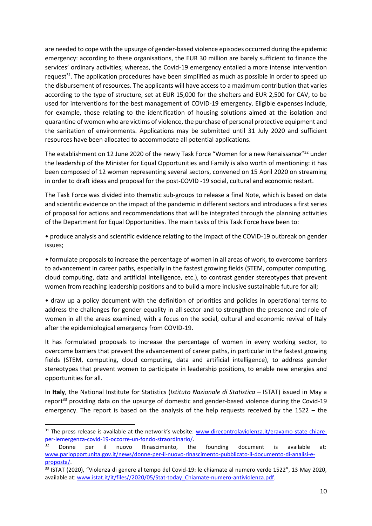are needed to cope with the upsurge of gender-based violence episodes occurred during the epidemic emergency: according to these organisations, the EUR 30 million are barely sufficient to finance the services' ordinary activities; whereas, the Covid-19 emergency entailed a more intense intervention request<sup>31</sup>. The application procedures have been simplified as much as possible in order to speed up the disbursement of resources. The applicants will have access to a maximum contribution that varies according to the type of structure, set at EUR 15,000 for the shelters and EUR 2,500 for CAV, to be used for interventions for the best management of COVID-19 emergency. Eligible expenses include, for example, those relating to the identification of housing solutions aimed at the isolation and quarantine of women who are victims of violence, the purchase of personal protective equipment and the sanitation of environments. Applications may be submitted until 31 July 2020 and sufficient resources have been allocated to accommodate all potential applications.

The establishment on 12 June 2020 of the newly Task Force "Women for a new Renaissance"<sup>32</sup> under the leadership of the Minister for Equal Opportunities and Family is also worth of mentioning: it has been composed of 12 women representing several sectors, convened on 15 April 2020 on streaming in order to draft ideas and proposal for the post-COVID -19 social, cultural and economic restart.

The Task Force was divided into thematic sub-groups to release a final Note, which is based on data and scientific evidence on the impact of the pandemic in different sectors and introduces a first series of proposal for actions and recommendations that will be integrated through the planning activities of the Department for Equal Opportunities. The main tasks of this Task Force have been to:

• produce analysis and scientific evidence relating to the impact of the COVID-19 outbreak on gender issues;

• formulate proposals to increase the percentage of women in all areas of work, to overcome barriers to advancement in career paths, especially in the fastest growing fields (STEM, computer computing, cloud computing, data and artificial intelligence, etc.), to contrast gender stereotypes that prevent women from reaching leadership positions and to build a more inclusive sustainable future for all;

• draw up a policy document with the definition of priorities and policies in operational terms to address the challenges for gender equality in all sector and to strengthen the presence and role of women in all the areas examined, with a focus on the social, cultural and economic revival of Italy after the epidemiological emergency from COVID-19.

It has formulated proposals to increase the percentage of women in every working sector, to overcome barriers that prevent the advancement of career paths, in particular in the fastest growing fields (STEM, computing, cloud computing, data and artificial intelligence), to address gender stereotypes that prevent women to participate in leadership positions, to enable new energies and opportunities for all.

In **Italy**, the National Institute for Statistics (*Istituto Nazionale di Statistica –* ISTAT) issued in May a report<sup>33</sup> providing data on the upsurge of domestic and gender-based violence during the Covid-19 emergency. The report is based on the analysis of the help requests received by the 1522 – the

<sup>&</sup>lt;sup>31</sup> The press release is available at the network's website: [www.direcontrolaviolenza.it/eravamo-state-chiare](http://www.direcontrolaviolenza.it/eravamo-state-chiare-per-lemergenza-covid-19-occorre-un-fondo-straordinario/)[per-lemergenza-covid-19-occorre-un-fondo-straordinario/.](http://www.direcontrolaviolenza.it/eravamo-state-chiare-per-lemergenza-covid-19-occorre-un-fondo-straordinario/)

 $32$  Donne per il nuovo Rinascimento, the founding document is available at: [www.pariopportunita.gov.it/news/donne-per-il-nuovo-rinascimento-pubblicato-il-documento-di-analisi-e](http://www.pariopportunita.gov.it/news/donne-per-il-nuovo-rinascimento-pubblicato-il-documento-di-analisi-e-proposta/)[proposta/.](http://www.pariopportunita.gov.it/news/donne-per-il-nuovo-rinascimento-pubblicato-il-documento-di-analisi-e-proposta/) 

<sup>33</sup> ISTAT (2020), "Violenza di genere al tempo del Covid-19: le chiamate al numero verde 1522", 13 May 2020, available at: www.istat.it/it/files//2020/05/Stat-today Chiamate-numero-antiviolenza.pdf.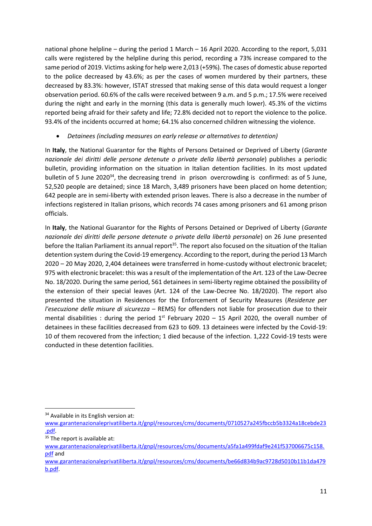national phone helpline – during the period 1 March – 16 April 2020. According to the report, 5,031 calls were registered by the helpline during this period, recording a 73% increase compared to the same period of 2019. Victims asking for help were 2,013 (+59%). The cases of domestic abuse reported to the police decreased by 43.6%; as per the cases of women murdered by their partners, these decreased by 83.3%: however, ISTAT stressed that making sense of this data would request a longer observation period. 60.6% of the calls were received between 9 a.m. and 5 p.m.; 17.5% were received during the night and early in the morning (this data is generally much lower). 45.3% of the victims reported being afraid for their safety and life; 72.8% decided not to report the violence to the police. 93.4% of the incidents occurred at home; 64.1% also concerned children witnessing the violence.

#### *Detainees (including measures on early release or alternatives to detention)*

In **Italy**, the National Guarantor for the Rights of Persons Detained or Deprived of Liberty (*Garante nazionale dei diritti delle persone detenute o private della libertà personale*) publishes a periodic bulletin, providing information on the situation in Italian detention facilities. In its most updated bulletin of 5 June 2020<sup>34</sup>, the decreasing trend in prison overcrowding is confirmed: as of 5 June, 52,520 people are detained; since 18 March, 3,489 prisoners have been placed on home detention; 642 people are in semi-liberty with extended prison leaves. There is also a decrease in the number of infections registered in Italian prisons, which records 74 cases among prisoners and 61 among prison officials.

In **Italy**, the National Guarantor for the Rights of Persons Detained or Deprived of Liberty (*Garante nazionale dei diritti delle persone detenute o private della libertà personale*) on 26 June presented before the Italian Parliament its annual report<sup>35</sup>. The report also focused on the situation of the Italian detention system during the Covid-19 emergency. According to the report, during the period 13 March 2020 – 20 May 2020, 2,404 detainees were transferred in home-custody without electronic bracelet; 975 with electronic bracelet: this was a result of the implementation of the Art. 123 of the Law-Decree No. 18/2020. During the same period, 561 detainees in semi-liberty regime obtained the possibility of the extension of their special leaves (Art. 124 of the Law-Decree No. 18/2020). The report also presented the situation in Residences for the Enforcement of Security Measures (*Residenze per l'esecuzione delle misure di sicurezza* – REMS) for offenders not liable for prosecution due to their mental disabilities : during the period  $1<sup>st</sup>$  February 2020 – 15 April 2020, the overall number of detainees in these facilities decreased from 623 to 609. 13 detainees were infected by the Covid-19: 10 of them recovered from the infection; 1 died because of the infection. 1,222 Covid-19 tests were conducted in these detention facilities.

1

<sup>&</sup>lt;sup>34</sup> Available in its English version at:

[www.garantenazionaleprivatiliberta.it/gnpl/resources/cms/documents/0710527a245fbccb5b3324a18cebde23](http://www.garantenazionaleprivatiliberta.it/gnpl/resources/cms/documents/0710527a245fbccb5b3324a18cebde23.pdf) [.pdf.](http://www.garantenazionaleprivatiliberta.it/gnpl/resources/cms/documents/0710527a245fbccb5b3324a18cebde23.pdf)

<sup>&</sup>lt;sup>35</sup> The report is available at:

[www.garantenazionaleprivatiliberta.it/gnpl/resources/cms/documents/a5fa1a499fdaf9e241f537006675c158.](http://www.garantenazionaleprivatiliberta.it/gnpl/resources/cms/documents/a5fa1a499fdaf9e241f537006675c158.pdf) [pdf](http://www.garantenazionaleprivatiliberta.it/gnpl/resources/cms/documents/a5fa1a499fdaf9e241f537006675c158.pdf) and

[www.garantenazionaleprivatiliberta.it/gnpl/resources/cms/documents/be66d834b9ac9728d5010b11b1da479](http://www.garantenazionaleprivatiliberta.it/gnpl/resources/cms/documents/be66d834b9ac9728d5010b11b1da479b.pdf) [b.pdf.](http://www.garantenazionaleprivatiliberta.it/gnpl/resources/cms/documents/be66d834b9ac9728d5010b11b1da479b.pdf)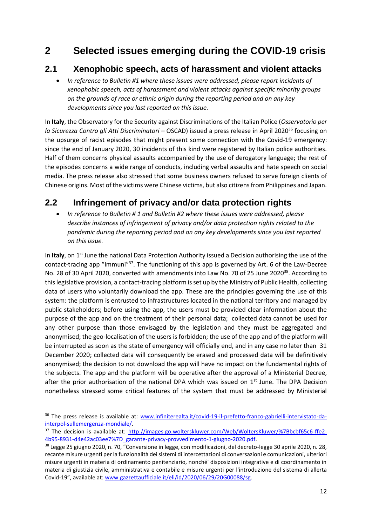# **2 Selected issues emerging during the COVID-19 crisis**

### **2.1 Xenophobic speech, acts of harassment and violent attacks**

 *In reference to Bulletin #1 where these issues were addressed, please report incidents of xenophobic speech, acts of harassment and violent attacks against specific minority groups on the grounds of race or ethnic origin during the reporting period and on any key developments since you last reported on this issue.*

In **Italy**, the Observatory for the Security against Discriminations of the Italian Police (*Osservatorio per la Sicurezza Contro gli Atti Discriminatori – OSCAD)* issued a press release in April 2020<sup>36</sup> focusing on the upsurge of racist episodes that might present some connection with the Covid-19 emergency: since the end of January 2020, 30 incidents of this kind were registered by Italian police authorities. Half of them concerns physical assaults accompanied by the use of derogatory language; the rest of the episodes concerns a wide range of conducts, including verbal assaults and hate speech on social media. The press release also stressed that some business owners refused to serve foreign clients of Chinese origins. Most of the victims were Chinese victims, but also citizens from Philippines and Japan.

# **2.2 Infringement of privacy and/or data protection rights**

 *In reference to Bulletin # 1 and Bulletin #2 where these issues were addressed, please describe instances of infringement of privacy and/or data protection rights related to the pandemic during the reporting period and on any key developments since you last reported on this issue.*

In Italy, on 1<sup>st</sup> June the national Data Protection Authority issued a Decision authorising the use of the contact-tracing app "Immuni"<sup>37</sup>. The functioning of this app is governed by Art. 6 of the Law-Decree No. 28 of 30 April 2020, converted with amendments into Law No. 70 of 25 June 2020<sup>38</sup>. According to this legislative provision, a contact-tracing platform is set up by the Ministry of Public Health, collecting data of users who voluntarily download the app. These are the principles governing the use of this system: the platform is entrusted to infrastructures located in the national territory and managed by public stakeholders; before using the app, the users must be provided clear information about the purpose of the app and on the treatment of their personal data; collected data cannot be used for any other purpose than those envisaged by the legislation and they must be aggregated and anonymised; the geo-localisation of the users is forbidden; the use of the app and of the platform will be interrupted as soon as the state of emergency will officially end, and in any case no later than 31 December 2020; collected data will consequently be erased and processed data will be definitively anonymised; the decision to not download the app will have no impact on the fundamental rights of the subjects. The app and the platform will be operative after the approval of a Ministerial Decree, after the prior authorisation of the national DPA which was issued on  $1<sup>st</sup>$  June. The DPA Decision nonetheless stressed some critical features of the system that must be addressed by Ministerial

 $\overline{\phantom{a}}$ 

<sup>36</sup> The press release is available at: [www.infiniterealta.it/covid-19-il-prefetto-franco-gabrielli-intervistato-da](http://www.infiniterealta.it/covid-19-il-prefetto-franco-gabrielli-intervistato-da-interpol-sullemergenza-mondiale/)[interpol-sullemergenza-mondiale/.](http://www.infiniterealta.it/covid-19-il-prefetto-franco-gabrielli-intervistato-da-interpol-sullemergenza-mondiale/)

<sup>37</sup> The decision is available at: [http://images.go.wolterskluwer.com/Web/WoltersKluwer/%7Bbcbf65c6-ffe2-](http://images.go.wolterskluwer.com/Web/WoltersKluwer/%7Bbcbf65c6-ffe2-4b95-8931-d4e42ac03ee7%7D_garante-privacy-provvedimento-1-giugno-2020.pdf) [4b95-8931-d4e42ac03ee7%7D\\_garante-privacy-provvedimento-1-giugno-2020.pdf.](http://images.go.wolterskluwer.com/Web/WoltersKluwer/%7Bbcbf65c6-ffe2-4b95-8931-d4e42ac03ee7%7D_garante-privacy-provvedimento-1-giugno-2020.pdf)

<sup>38</sup> Legge 25 giugno 2020, n. 70, "Conversione in legge, con modificazioni, del decreto-legge 30 aprile 2020, n. 28, recante misure urgenti per la funzionalità dei sistemi di intercettazioni di conversazioni e comunicazioni, ulteriori misure urgenti in materia di ordinamento penitenziario, nonché' disposizioni integrative e di coordinamento in materia di giustizia civile, amministrativa e contabile e misure urgenti per l'introduzione del sistema di allerta Covid-19", available at: [www.gazzettaufficiale.it/eli/id/2020/06/29/20G00088/sg.](http://www.gazzettaufficiale.it/eli/id/2020/06/29/20G00088/sg)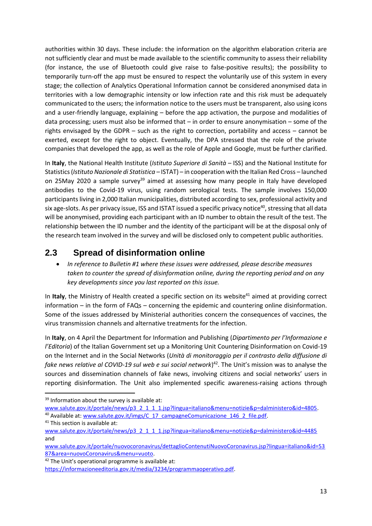authorities within 30 days. These include: the information on the algorithm elaboration criteria are not sufficiently clear and must be made available to the scientific community to assess their reliability (for instance, the use of Bluetooth could give raise to false-positive results); the possibility to temporarily turn-off the app must be ensured to respect the voluntarily use of this system in every stage; the collection of Analytics Operational Information cannot be considered anonymised data in territories with a low demographic intensity or low infection rate and this risk must be adequately communicated to the users; the information notice to the users must be transparent, also using icons and a user-friendly language, explaining – before the app activation, the purpose and modalities of data processing; users must also be informed that – in order to ensure anonymisation – some of the rights envisaged by the GDPR – such as the right to correction, portability and access – cannot be exerted, except for the right to object. Eventually, the DPA stressed that the role of the private companies that developed the app, as well as the role of Apple and Google, must be further clarified.

In **Italy**, the National Health Institute (*Istituto Superiore di Sanità* – ISS) and the National Institute for Statistics (*Istituto Nazionale di Statistica –* ISTAT) – in cooperation with the Italian Red Cross – launched on 25May 2020 a sample survey<sup>39</sup> aimed at assessing how many people in Italy have developed antibodies to the Covid-19 virus, using random serological tests. The sample involves 150,000 participants living in 2,000 Italian municipalities, distributed according to sex, professional activity and six age-slots. As per privacy issue, ISS and ISTAT issued a specific privacy notice<sup>40</sup>, stressing that all data will be anonymised, providing each participant with an ID number to obtain the result of the test. The relationship between the ID number and the identity of the participant will be at the disposal only of the research team involved in the survey and will be disclosed only to competent public authorities.

## **2.3 Spread of disinformation online**

 *In reference to Bulletin #1 where these issues were addressed, please describe measures taken to counter the spread of disinformation online, during the reporting period and on any key developments since you last reported on this issue.*

In Italy, the Ministry of Health created a specific section on its website<sup>41</sup> aimed at providing correct information – in the form of FAQs – concerning the epidemic and countering online disinformation. Some of the issues addressed by Ministerial authorities concern the consequences of vaccines, the virus transmission channels and alternative treatments for the infection.

In **Italy**, on 4 April the Department for Information and Publishing (*Dipartimento per l'Informazione e l'Editoria*) of the Italian Government set up a Monitoring Unit Countering Disinformation on Covid-19 on the Internet and in the Social Networks (*Unità di monitoraggio per il contrasto della diffusione di fake news relative al COVID-19 sul web e sui social network*) <sup>42</sup>. The Unit's mission was to analyse the sources and dissemination channels of fake news, involving citizens and social networks' users in reporting disinformation. The Unit also implemented specific awareness-raising actions through

<sup>42</sup> The Unit's operational programme is available at:

<sup>1</sup> <sup>39</sup> Information about the survey is available at:

[www.salute.gov.it/portale/news/p3\\_2\\_1\\_1\\_1.jsp?lingua=italiano&menu=notizie&p=dalministero&id=4805.](http://www.salute.gov.it/portale/news/p3_2_1_1_1.jsp?lingua=italiano&menu=notizie&p=dalministero&id=4805) <sup>40</sup> Available at: [www.salute.gov.it/imgs/C\\_17\\_campagneComunicazione\\_146\\_2\\_file.pdf.](http://www.salute.gov.it/imgs/C_17_campagneComunicazione_146_2_file.pdf)

<sup>&</sup>lt;sup>41</sup> This section is available at:

[www.salute.gov.it/portale/news/p3\\_2\\_1\\_1\\_1.jsp?lingua=italiano&menu=notizie&p=dalministero&id=4485](http://www.salute.gov.it/portale/news/p3_2_1_1_1.jsp?lingua=italiano&menu=notizie&p=dalministero&id=4485) and

[www.salute.gov.it/portale/nuovocoronavirus/dettaglioContenutiNuovoCoronavirus.jsp?lingua=italiano&id=53](http://www.salute.gov.it/portale/nuovocoronavirus/dettaglioContenutiNuovoCoronavirus.jsp?lingua=italiano&id=5387&area=nuovoCoronavirus&menu=vuoto) [87&area=nuovoCoronavirus&menu=vuoto.](http://www.salute.gov.it/portale/nuovocoronavirus/dettaglioContenutiNuovoCoronavirus.jsp?lingua=italiano&id=5387&area=nuovoCoronavirus&menu=vuoto) 

[https://informazioneeditoria.gov.it/media/3234/programmaoperativo.pdf.](https://informazioneeditoria.gov.it/media/3234/programmaoperativo.pdf)